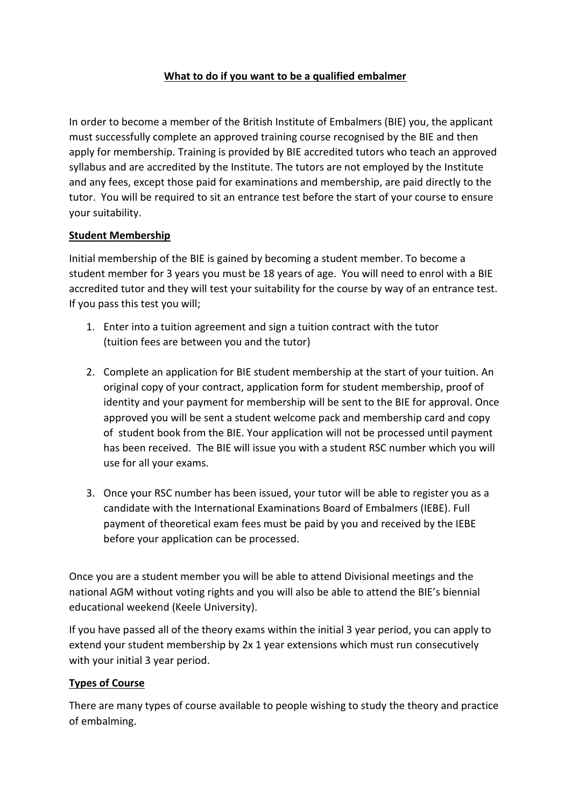## **What to do if you want to be a qualified embalmer**

In order to become a member of the British Institute of Embalmers (BIE) you, the applicant must successfully complete an approved training course recognised by the BIE and then apply for membership. Training is provided by BIE accredited tutors who teach an approved syllabus and are accredited by the Institute. The tutors are not employed by the Institute and any fees, except those paid for examinations and membership, are paid directly to the tutor. You will be required to sit an entrance test before the start of your course to ensure your suitability.

### **Student Membership**

Initial membership of the BIE is gained by becoming a student member. To become a student member for 3 years you must be 18 years of age. You will need to enrol with a BIE accredited tutor and they will test your suitability for the course by way of an entrance test. If you pass this test you will;

- 1. Enter into a tuition agreement and sign a tuition contract with the tutor (tuition fees are between you and the tutor)
- 2. Complete an application for BIE student membership at the start of your tuition. An original copy of your contract, application form for student membership, proof of identity and your payment for membership will be sent to the BIE for approval. Once approved you will be sent a student welcome pack and membership card and copy of student book from the BIE. Your application will not be processed until payment has been received. The BIE will issue you with a student RSC number which you will use for all your exams.
- 3. Once your RSC number has been issued, your tutor will be able to register you as a candidate with the International Examinations Board of Embalmers (IEBE). Full payment of theoretical exam fees must be paid by you and received by the IEBE before your application can be processed.

Once you are a student member you will be able to attend Divisional meetings and the national AGM without voting rights and you will also be able to attend the BIE's biennial educational weekend (Keele University).

If you have passed all of the theory exams within the initial 3 year period, you can apply to extend your student membership by 2x 1 year extensions which must run consecutively with your initial 3 year period.

### **Types of Course**

There are many types of course available to people wishing to study the theory and practice of embalming.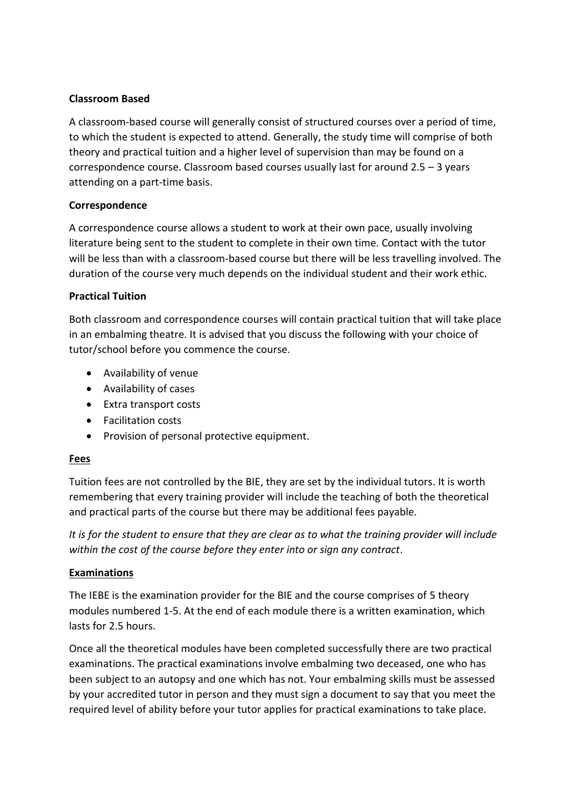### **Classroom Based**

A classroom-based course will generally consist of structured courses over a period of time, to which the student is expected to attend. Generally, the study time will comprise of both theory and practical tuition and a higher level of supervision than may be found on a correspondence course. Classroom based courses usually last for around 2.5 – 3 years attending on a part-time basis.

### **Correspondence**

A correspondence course allows a student to work at their own pace, usually involving literature being sent to the student to complete in their own time. Contact with the tutor will be less than with a classroom-based course but there will be less travelling involved. The duration of the course very much depends on the individual student and their work ethic.

### **Practical Tuition**

Both classroom and correspondence courses will contain practical tuition that will take place in an embalming theatre. It is advised that you discuss the following with your choice of tutor/school before you commence the course.

- Availability of venue
- Availability of cases
- Extra transport costs
- Facilitation costs
- Provision of personal protective equipment.

#### **Fees**

Tuition fees are not controlled by the BIE, they are set by the individual tutors. It is worth remembering that every training provider will include the teaching of both the theoretical and practical parts of the course but there may be additional fees payable.

*It is for the student to ensure that they are clear as to what the training provider will include within the cost of the course before they enter into or sign any contract*.

#### **Examinations**

The IEBE is the examination provider for the BIE and the course comprises of 5 theory modules numbered 1-5. At the end of each module there is a written examination, which lasts for 2.5 hours.

Once all the theoretical modules have been completed successfully there are two practical examinations. The practical examinations involve embalming two deceased, one who has been subject to an autopsy and one which has not. Your embalming skills must be assessed by your accredited tutor in person and they must sign a document to say that you meet the required level of ability before your tutor applies for practical examinations to take place.